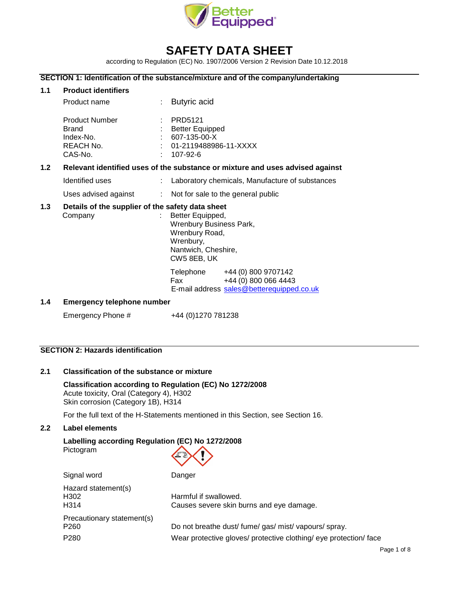

# **SAFETY DATA SHEET**

according to Regulation (EC) No. 1907/2006 Version 2 Revision Date 10.12.2018

## **SECTION 1: Identification of the substance/mixture and of the company/undertaking**

| 1.1              | <b>Product identifiers</b>                                                    |  |                                                                                                                  |  |
|------------------|-------------------------------------------------------------------------------|--|------------------------------------------------------------------------------------------------------------------|--|
|                  | Product name                                                                  |  | <b>Butyric acid</b>                                                                                              |  |
|                  | <b>Product Number</b><br><b>Brand</b><br>Index-No.<br>REACH No.<br>CAS-No.    |  | : PRD5121<br>: Better Equipped<br>607-135-00-X<br>: 01-2119488986-11-XXXX<br>107-92-6                            |  |
| 1.2 <sub>2</sub> | Relevant identified uses of the substance or mixture and uses advised against |  |                                                                                                                  |  |
|                  | Identified uses                                                               |  | Laboratory chemicals, Manufacture of substances                                                                  |  |
|                  | Uses advised against                                                          |  | : Not for sale to the general public                                                                             |  |
| 1.3              | Details of the supplier of the safety data sheet<br>Company                   |  | Better Equipped,<br>Wrenbury Business Park,<br>Wrenbury Road,<br>Wrenbury,<br>Nantwich, Cheshire,<br>CW5 8EB, UK |  |
|                  |                                                                               |  | Telephone +44 (0) 800 9707142<br>+44 (0) 800 066 4443<br><b>Fax</b><br>E-mail address sales@betterequipped.co.uk |  |
| 1.4              | Emergency telephone number                                                    |  |                                                                                                                  |  |

## 1.4 **Emergency telephone numbe**

Emergency Phone # +44 (0)1270 781238

# **SECTION 2: Hazards identification**

## **2.1 Classification of the substance or mixture**

**Classification according to Regulation (EC) No 1272/2008** Acute toxicity, Oral (Category 4), H302 Skin corrosion (Category 1B), H314

For the full text of the H-Statements mentioned in this Section, see Section 16.

## **2.2 Label elements**

**Labelling according Regulation (EC) No 1272/2008** Pictogram

| Signal word                                      | Danger                                                            |
|--------------------------------------------------|-------------------------------------------------------------------|
| Hazard statement(s)<br>H302<br>H <sub>3</sub> 14 | Harmful if swallowed.<br>Causes severe skin burns and eye damage. |
| Precautionary statement(s)                       |                                                                   |
| P <sub>260</sub>                                 | Do not breathe dust/fume/gas/mist/vapours/spray.                  |
| P <sub>280</sub>                                 | Wear protective gloves/ protective clothing/ eye protection/ face |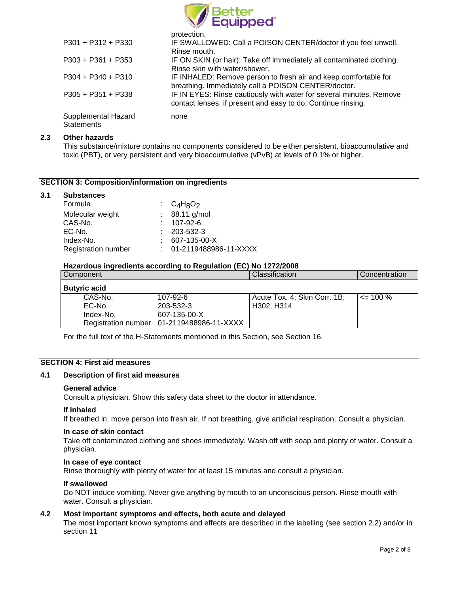

|                                                 | protection.                                                                                                                         |
|-------------------------------------------------|-------------------------------------------------------------------------------------------------------------------------------------|
| $P301 + P312 + P330$                            | IF SWALLOWED: Call a POISON CENTER/doctor if you feel unwell.<br>Rinse mouth.                                                       |
| $P303 + P361 + P353$                            | IF ON SKIN (or hair): Take off immediately all contaminated clothing.<br>Rinse skin with water/shower.                              |
| $P304 + P340 + P310$                            | IF INHALED: Remove person to fresh air and keep comfortable for<br>breathing. Immediately call a POISON CENTER/doctor.              |
| $P305 + P351 + P338$                            | IF IN EYES: Rinse cautiously with water for several minutes. Remove<br>contact lenses, if present and easy to do. Continue rinsing. |
| <b>Supplemental Hazard</b><br><b>Statements</b> | none                                                                                                                                |

## **2.3 Other hazards**

This substance/mixture contains no components considered to be either persistent, bioaccumulative and toxic (PBT), or very persistent and very bioaccumulative (vPvB) at levels of 0.1% or higher.

## **SECTION 3: Composition/information on ingredients**

#### **3.1 Substances**

| Formula                    | : $C_4H_8O_2$             |
|----------------------------|---------------------------|
| Molecular weight           | : $88.11$ g/mol           |
| CAS-No.                    | 107-92-6                  |
| EC-No.                     | $: 203 - 532 - 3$         |
| Index-No.                  | 607-135-00-X              |
| <b>Registration number</b> | $: 01-2119488986-11-XXXX$ |

#### **Hazardous ingredients according to Regulation (EC) No 1272/2008**

| Component           |                                           | Classification               | Concentration |
|---------------------|-------------------------------------------|------------------------------|---------------|
| <b>Butyric acid</b> |                                           |                              |               |
| CAS-No.             | 107-92-6                                  | Acute Tox. 4; Skin Corr. 1B; | $\leq$ 100 %  |
| EC-No.              | 203-532-3                                 | H302, H314                   |               |
| Index-No.           | 607-135-00-X                              |                              |               |
|                     | Registration number 01-2119488986-11-XXXX |                              |               |

For the full text of the H-Statements mentioned in this Section, see Section 16.

# **SECTION 4: First aid measures**

#### **4.1 Description of first aid measures**

#### **General advice**

Consult a physician. Show this safety data sheet to the doctor in attendance.

#### **If inhaled**

If breathed in, move person into fresh air. If not breathing, give artificial respiration. Consult a physician.

#### **In case of skin contact**

Take off contaminated clothing and shoes immediately. Wash off with soap and plenty of water. Consult a physician.

#### **In case of eye contact**

Rinse thoroughly with plenty of water for at least 15 minutes and consult a physician.

#### **If swallowed**

Do NOT induce vomiting. Never give anything by mouth to an unconscious person. Rinse mouth with water. Consult a physician.

## **4.2 Most important symptoms and effects, both acute and delayed**

The most important known symptoms and effects are described in the labelling (see section 2.2) and/or in section 11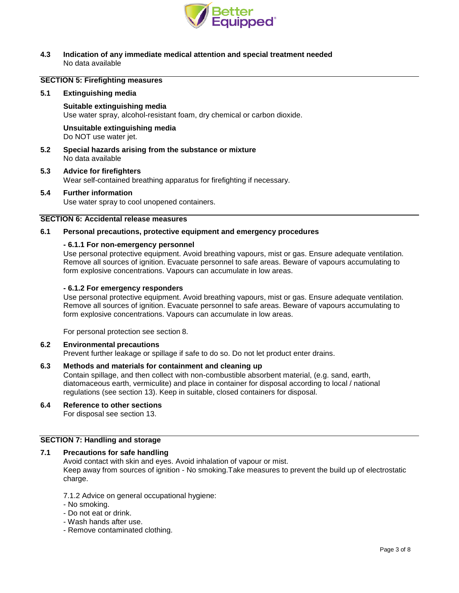

#### **4.3 Indication of any immediate medical attention and special treatment needed** No data available

## **SECTION 5: Firefighting measures**

#### **5.1 Extinguishing media**

**Suitable extinguishing media** Use water spray, alcohol-resistant foam, dry chemical or carbon dioxide.

**Unsuitable extinguishing media** Do NOT use water jet.

- **5.2 Special hazards arising from the substance or mixture** No data available
- **5.3 Advice for firefighters** Wear self-contained breathing apparatus for firefighting if necessary.

# **5.4 Further information**

Use water spray to cool unopened containers.

#### **SECTION 6: Accidental release measures**

#### **6.1 Personal precautions, protective equipment and emergency procedures**

#### **- 6.1.1 For non-emergency personnel**

Use personal protective equipment. Avoid breathing vapours, mist or gas. Ensure adequate ventilation. Remove all sources of ignition. Evacuate personnel to safe areas. Beware of vapours accumulating to form explosive concentrations. Vapours can accumulate in low areas.

#### **- 6.1.2 For emergency responders**

Use personal protective equipment. Avoid breathing vapours, mist or gas. Ensure adequate ventilation. Remove all sources of ignition. Evacuate personnel to safe areas. Beware of vapours accumulating to form explosive concentrations. Vapours can accumulate in low areas.

For personal protection see section 8.

#### **6.2 Environmental precautions**

Prevent further leakage or spillage if safe to do so. Do not let product enter drains.

#### **6.3 Methods and materials for containment and cleaning up**

Contain spillage, and then collect with non-combustible absorbent material, (e.g. sand, earth, diatomaceous earth, vermiculite) and place in container for disposal according to local / national regulations (see section 13). Keep in suitable, closed containers for disposal.

**6.4 Reference to other sections** For disposal see section 13.

## **SECTION 7: Handling and storage**

#### **7.1 Precautions for safe handling**

Avoid contact with skin and eyes. Avoid inhalation of vapour or mist. Keep away from sources of ignition - No smoking.Take measures to prevent the build up of electrostatic charge.

7.1.2 Advice on general occupational hygiene:

- No smoking.
- Do not eat or drink.
- Wash hands after use.
- Remove contaminated clothing.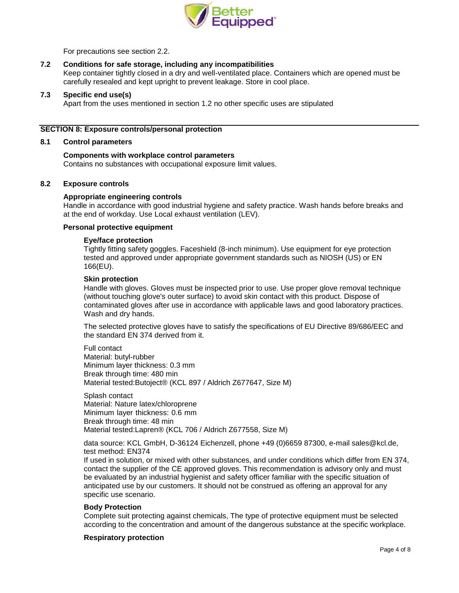

For precautions see section 2.2.

## **7.2 Conditions for safe storage, including any incompatibilities**

Keep container tightly closed in a dry and well-ventilated place. Containers which are opened must be carefully resealed and kept upright to prevent leakage. Store in cool place.

#### **7.3 Specific end use(s)**

Apart from the uses mentioned in section 1.2 no other specific uses are stipulated

#### **SECTION 8: Exposure controls/personal protection**

#### **8.1 Control parameters**

#### **Components with workplace control parameters** Contains no substances with occupational exposure limit values.

#### **8.2 Exposure controls**

#### **Appropriate engineering controls**

Handle in accordance with good industrial hygiene and safety practice. Wash hands before breaks and at the end of workday. Use Local exhaust ventilation (LEV).

#### **Personal protective equipment**

#### **Eye/face protection**

Tightly fitting safety goggles. Faceshield (8-inch minimum). Use equipment for eye protection tested and approved under appropriate government standards such as NIOSH (US) or EN 166(EU).

#### **Skin protection**

Handle with gloves. Gloves must be inspected prior to use. Use proper glove removal technique (without touching glove's outer surface) to avoid skin contact with this product. Dispose of contaminated gloves after use in accordance with applicable laws and good laboratory practices. Wash and dry hands.

The selected protective gloves have to satisfy the specifications of EU Directive 89/686/EEC and the standard EN 374 derived from it.

Full contact Material: butyl-rubber Minimum layer thickness: 0.3 mm Break through time: 480 min Material tested:Butoject® (KCL 897 / Aldrich Z677647, Size M)

Splash contact Material: Nature latex/chloroprene Minimum layer thickness: 0.6 mm Break through time: 48 min Material tested:Lapren® (KCL 706 / Aldrich Z677558, Size M)

data source: KCL GmbH, D-36124 Eichenzell, phone +49 (0)6659 87300, e-mail [sales@kcl.de,](mailto:sales@kcl.de) test method: EN374

If used in solution, or mixed with other substances, and under conditions which differ from EN 374, contact the supplier of the CE approved gloves. This recommendation is advisory only and must be evaluated by an industrial hygienist and safety officer familiar with the specific situation of anticipated use by our customers. It should not be construed as offering an approval for any specific use scenario.

#### **Body Protection**

Complete suit protecting against chemicals, The type of protective equipment must be selected according to the concentration and amount of the dangerous substance at the specific workplace.

#### **Respiratory protection**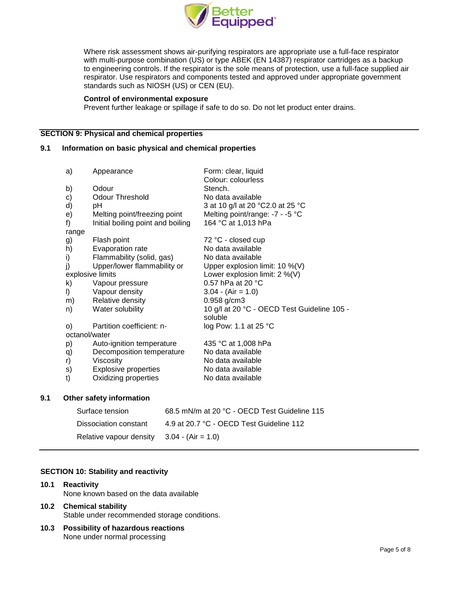

Where risk assessment shows air-purifying respirators are appropriate use a full-face respirator with multi-purpose combination (US) or type ABEK (EN 14387) respirator cartridges as a backup to engineering controls. If the respirator is the sole means of protection, use a full-face supplied air respirator. Use respirators and components tested and approved under appropriate government standards such as NIOSH (US) or CEN (EU).

#### **Control of environmental exposure**

Prevent further leakage or spillage if safe to do so. Do not let product enter drains.

## **SECTION 9: Physical and chemical properties**

### **9.1 Information on basic physical and chemical properties**

| a)            | Appearance                        | Form: clear, liquid<br>Colour: colourless              |
|---------------|-----------------------------------|--------------------------------------------------------|
| b)            | Odour                             | Stench.                                                |
| c)            | <b>Odour Threshold</b>            | No data available                                      |
| d)            | рH                                | 3 at 10 g/l at 20 °C2.0 at 25 °C                       |
| e)            | Melting point/freezing point      | Melting point/range: -7 - -5 °C                        |
| f)            | Initial boiling point and boiling | 164 °C at 1,013 hPa                                    |
| range         |                                   |                                                        |
| g)            | Flash point                       | 72 °C - closed cup                                     |
| h)            | Evaporation rate                  | No data available                                      |
| i)            | Flammability (solid, gas)         | No data available                                      |
| j)            | Upper/lower flammability or       | Upper explosion limit: 10 %(V)                         |
|               | explosive limits                  | Lower explosion limit: 2 %(V)                          |
| k)            | Vapour pressure                   | 0.57 hPa at 20 $^{\circ}$ C                            |
| I)            | Vapour density                    | $3.04 - (Air = 1.0)$                                   |
| m)            | Relative density                  | $0.958$ g/cm3                                          |
| n)            | Water solubility                  | 10 g/l at 20 °C - OECD Test Guideline 105 -<br>soluble |
| $\circ$       | Partition coefficient: n-         | log Pow: 1.1 at 25 °C                                  |
| octanol/water |                                   |                                                        |
| p)            | Auto-ignition temperature         | 435 °C at 1,008 hPa                                    |
| q)            | Decomposition temperature         | No data available                                      |
| r)            | Viscosity                         | No data available                                      |
| s)            | <b>Explosive properties</b>       | No data available                                      |
| t)            | Oxidizing properties              | No data available                                      |
|               | Other safetv information          |                                                        |

#### **9.1 Other safety information**

| Surface tension                              | 68.5 mN/m at 20 °C - OECD Test Guideline 115 |
|----------------------------------------------|----------------------------------------------|
| Dissociation constant                        | 4.9 at 20.7 °C - OECD Test Guideline 112     |
| Relative vapour density $3.04 - (Air = 1.0)$ |                                              |

#### **SECTION 10: Stability and reactivity**

#### **10.1 Reactivity**

None known based on the data available

#### **10.2 Chemical stability** Stable under recommended storage conditions.

**10.3 Possibility of hazardous reactions** None under normal processing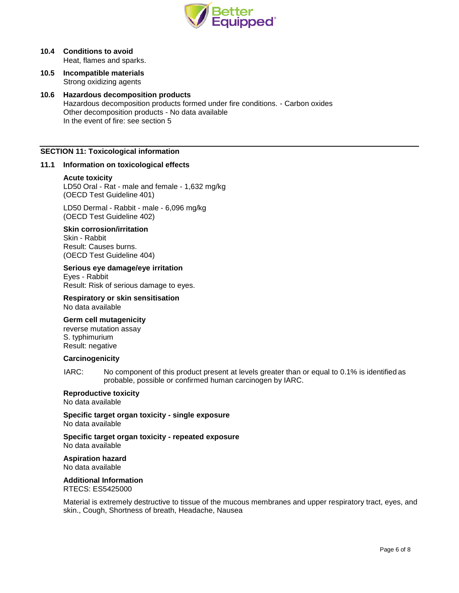

### **10.4 Conditions to avoid** Heat, flames and sparks.

**10.5 Incompatible materials** Strong oxidizing agents

### **10.6 Hazardous decomposition products**

Hazardous decomposition products formed under fire conditions. - Carbon oxides Other decomposition products - No data available In the event of fire: see section 5

#### **SECTION 11: Toxicological information**

#### **11.1 Information on toxicological effects**

#### **Acute toxicity**

LD50 Oral - Rat - male and female - 1,632 mg/kg (OECD Test Guideline 401)

LD50 Dermal - Rabbit - male - 6,096 mg/kg (OECD Test Guideline 402)

#### **Skin corrosion/irritation**

Skin - Rabbit Result: Causes burns. (OECD Test Guideline 404)

#### **Serious eye damage/eye irritation**

Eyes - Rabbit Result: Risk of serious damage to eyes.

# **Respiratory or skin sensitisation**

No data available

## **Germ cell mutagenicity**

reverse mutation assay S. typhimurium Result: negative

#### **Carcinogenicity**

IARC: No component of this product present at levels greater than or equal to 0.1% is identified as probable, possible or confirmed human carcinogen by IARC.

# **Reproductive toxicity**

No data available

**Specific target organ toxicity - single exposure** No data available

**Specific target organ toxicity - repeated exposure** No data available

#### **Aspiration hazard** No data available

#### **Additional Information**

RTECS: ES5425000

Material is extremely destructive to tissue of the mucous membranes and upper respiratory tract, eyes, and skin., Cough, Shortness of breath, Headache, Nausea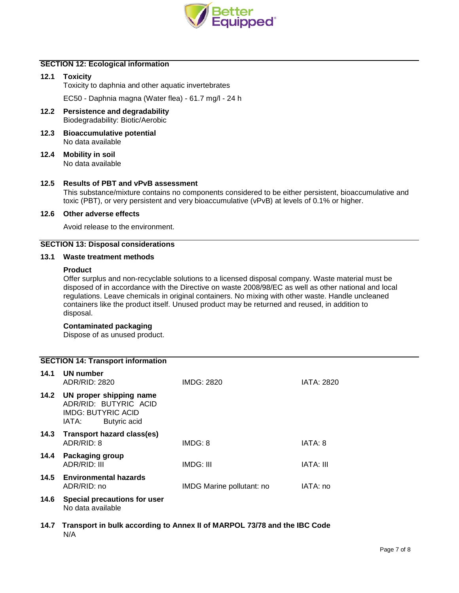

## **SECTION 12: Ecological information**

**12.1 Toxicity** Toxicity to daphnia and other aquatic invertebrates

EC50 - Daphnia magna (Water flea) - 61.7 mg/l - 24 h

- **12.2 Persistence and degradability** Biodegradability: Biotic/Aerobic
- **12.3 Bioaccumulative potential** No data available
- **12.4 Mobility in soil** No data available

#### **12.5 Results of PBT and vPvB assessment**

This substance/mixture contains no components considered to be either persistent, bioaccumulative and toxic (PBT), or very persistent and very bioaccumulative (vPvB) at levels of 0.1% or higher.

#### **12.6 Other adverse effects**

Avoid release to the environment.

#### **SECTION 13: Disposal considerations**

#### **13.1 Waste treatment methods**

#### **Product**

Offer surplus and non-recyclable solutions to a licensed disposal company. Waste material must be disposed of in accordance with the Directive on waste 2008/98/EC as well as other national and local regulations. Leave chemicals in original containers. No mixing with other waste. Handle uncleaned containers like the product itself. Unused product may be returned and reused, in addition to disposal.

## **Contaminated packaging**

Dispose of as unused product.

## **SECTION 14: Transport information**

| 14.1 | UN number<br>ADR/RID: 2820                                                                             | IMDG: 2820                | <b>IATA: 2820</b> |
|------|--------------------------------------------------------------------------------------------------------|---------------------------|-------------------|
| 14.2 | UN proper shipping name<br>ADR/RID: BUTYRIC ACID<br><b>IMDG: BUTYRIC ACID</b><br>Butyric acid<br>IATA: |                           |                   |
| 14.3 | Transport hazard class(es)<br>ADR/RID: 8                                                               | IMDG: 8                   | IATA: 8           |
| 14.4 | Packaging group<br>ADR/RID: III                                                                        | IMDG: III                 | IATA: III         |
| 14.5 | <b>Environmental hazards</b><br>ADR/RID: no                                                            | IMDG Marine pollutant: no | IATA: no          |
| 14.6 | Special precautions for user<br>No data available                                                      |                           |                   |

**14.7 Transport in bulk according to Annex II of MARPOL 73/78 and the IBC Code** N/A